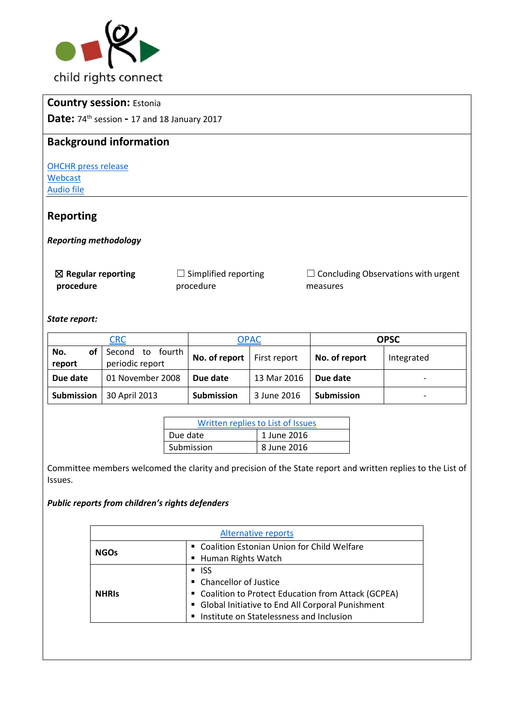

# **Country session:** Estonia

**Date:** 74th session **-** 17 and 18 January 2017

## **Background information**

[OHCHR press release](http://bit.ly/2mheleJ) [Webcast](http://bit.ly/2lWAtKl) [Audio file](http://bit.ly/2kPQLB6)

# **Reporting**

*Reporting methodology* 

| $\boxtimes$ Regular reporting | $\Box$ Simplified reporting | $\Box$ Concluding Observations with urgent |
|-------------------------------|-----------------------------|--------------------------------------------|
| procedure                     | procedure                   | measures                                   |

### *State report:*

| <b>CRC</b><br><b>OPAC</b> |                                        |                              | <b>OPSC</b> |                   |                          |
|---------------------------|----------------------------------------|------------------------------|-------------|-------------------|--------------------------|
| οf<br>No.<br>report       | Second<br>to fourth<br>periodic report | No. of report   First report |             | No. of report     | Integrated               |
| Due date                  | 01 November 2008                       | Due date                     | 13 Mar 2016 | Due date          | $\overline{\phantom{0}}$ |
| Submission                | 30 April 2013                          | <b>Submission</b>            | 3 June 2016 | <b>Submission</b> | $\overline{\phantom{0}}$ |

| Written replies to List of Issues |             |  |
|-----------------------------------|-------------|--|
| Due date                          | 1 June 2016 |  |
| Submission                        | 8 June 2016 |  |

Committee members welcomed the clarity and precision of the State report and written replies to the List of Issues.

### *Public reports from children's rights defenders*

| <b>Alternative reports</b> |                                                      |  |
|----------------------------|------------------------------------------------------|--|
| <b>NGOs</b>                | " Coalition Estonian Union for Child Welfare         |  |
|                            | ■ Human Rights Watch                                 |  |
|                            | $\blacksquare$ ISS                                   |  |
| <b>NHRIS</b>               | • Chancellor of Justice                              |  |
|                            | " Coalition to Protect Education from Attack (GCPEA) |  |
|                            | • Global Initiative to End All Corporal Punishment   |  |
|                            | Institute on Statelessness and Inclusion             |  |
|                            |                                                      |  |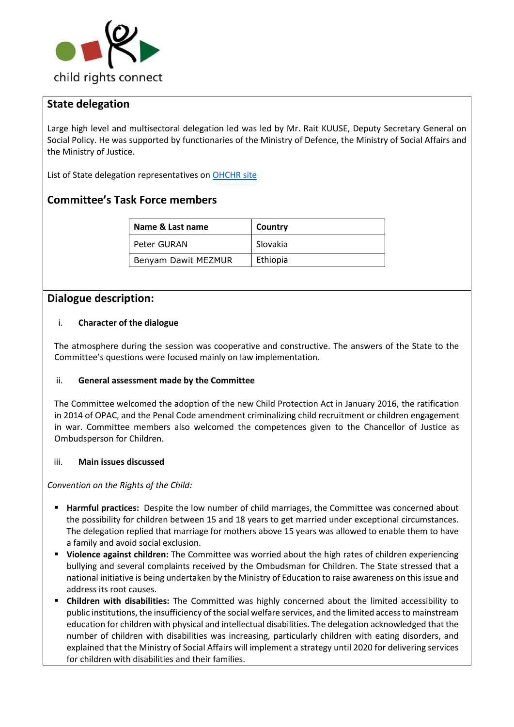

# **State delegation**

Large high level and multisectoral delegation led was led by Mr. Rait KUUSE, Deputy Secretary General on Social Policy. He was supported by functionaries of the Ministry of Defence, the Ministry of Social Affairs and the Ministry of Justice.

List of State delegation representatives on [OHCHR site](http://bit.ly/2lr4w9w) 

# **Committee's Task Force members**

| Name & Last name    | Country  |
|---------------------|----------|
| Peter GURAN         | Slovakia |
| Benyam Dawit MEZMUR | Ethiopia |

### **Dialogue description:**

### i. **Character of the dialogue**

The atmosphere during the session was cooperative and constructive. The answers of the State to the Committee's questions were focused mainly on law implementation.

### ii. **General assessment made by the Committee**

The Committee welcomed the adoption of the new Child Protection Act in January 2016, the ratification in 2014 of OPAC, and the Penal Code amendment criminalizing child recruitment or children engagement in war. Committee members also welcomed the competences given to the Chancellor of Justice as Ombudsperson for Children.

### iii. **Main issues discussed**

*Convention on the Rights of the Child:*

- **Harmful practices:** Despite the low number of child marriages, the Committee was concerned about the possibility for children between 15 and 18 years to get married under exceptional circumstances. The delegation replied that marriage for mothers above 15 years was allowed to enable them to have a family and avoid social exclusion.
- **Violence against children:** The Committee was worried about the high rates of children experiencing bullying and several complaints received by the Ombudsman for Children. The State stressed that a national initiative is being undertaken by the Ministry of Education to raise awareness on this issue and address its root causes.
- **Children with disabilities:** The Committed was highly concerned about the limited accessibility to public institutions, the insufficiency of the social welfare services, and the limited access to mainstream education for children with physical and intellectual disabilities. The delegation acknowledged that the number of children with disabilities was increasing, particularly children with eating disorders, and explained that the Ministry of Social Affairs will implement a strategy until 2020 for delivering services for children with disabilities and their families.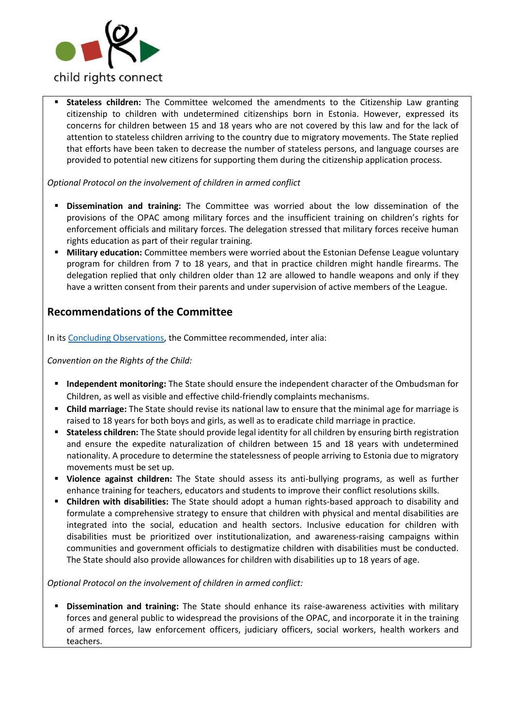

 **Stateless children:** The Committee welcomed the amendments to the Citizenship Law granting citizenship to children with undetermined citizenships born in Estonia. However, expressed its concerns for children between 15 and 18 years who are not covered by this law and for the lack of attention to stateless children arriving to the country due to migratory movements. The State replied that efforts have been taken to decrease the number of stateless persons, and language courses are provided to potential new citizens for supporting them during the citizenship application process.

### *Optional Protocol on the involvement of children in armed conflict*

- **Dissemination and training:** The Committee was worried about the low dissemination of the provisions of the OPAC among military forces and the insufficient training on children's rights for enforcement officials and military forces. The delegation stressed that military forces receive human rights education as part of their regular training.
- **Military education:** Committee members were worried about the Estonian Defense League voluntary program for children from 7 to 18 years, and that in practice children might handle firearms. The delegation replied that only children older than 12 are allowed to handle weapons and only if they have a written consent from their parents and under supervision of active members of the League.

## **Recommendations of the Committee**

In its [Concluding Observations,](http://bit.ly/2lZ9ufy) the Committee recommended, inter alia:

*Convention on the Rights of the Child:*

- **Independent monitoring:** The State should ensure the independent character of the Ombudsman for Children, as well as visible and effective child-friendly complaints mechanisms.
- **Child marriage:** The State should revise its national law to ensure that the minimal age for marriage is raised to 18 years for both boys and girls, as well as to eradicate child marriage in practice.
- **Stateless children:** The State should provide legal identity for all children by ensuring birth registration and ensure the expedite naturalization of children between 15 and 18 years with undetermined nationality. A procedure to determine the statelessness of people arriving to Estonia due to migratory movements must be set up.
- **Violence against children:** The State should assess its anti-bullying programs, as well as further enhance training for teachers, educators and students to improve their conflict resolutions skills.
- **Children with disabilities:** The State should adopt a human rights-based approach to disability and formulate a comprehensive strategy to ensure that children with physical and mental disabilities are integrated into the social, education and health sectors. Inclusive education for children with disabilities must be prioritized over institutionalization, and awareness-raising campaigns within communities and government officials to destigmatize children with disabilities must be conducted. The State should also provide allowances for children with disabilities up to 18 years of age.

*Optional Protocol on the involvement of children in armed conflict:*

 **Dissemination and training:** The State should enhance its raise-awareness activities with military forces and general public to widespread the provisions of the OPAC, and incorporate it in the training of armed forces, law enforcement officers, judiciary officers, social workers, health workers and teachers.